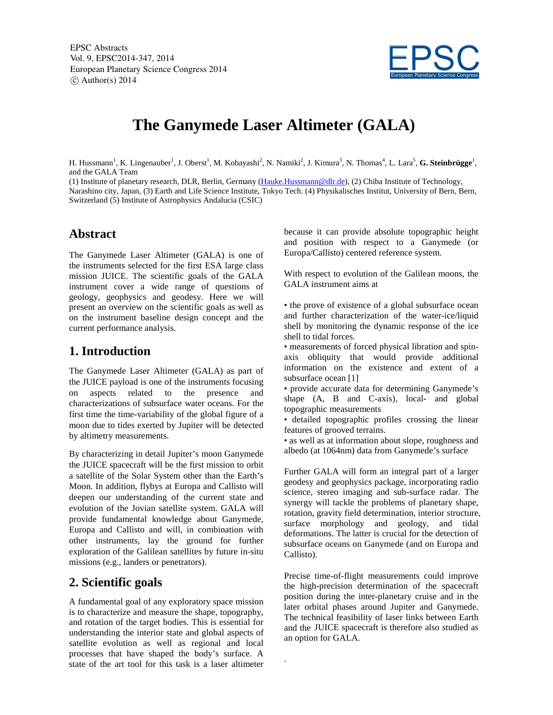EPSC Abstracts Vol. 9, EPSC2014-347, 2014 European Planetary Science Congress 2014  $(c)$  Author(s) 2014



# **The Ganymede Laser Altimeter (GALA)**

H. Hussmann<sup>1</sup>, K. Lingenauber<sup>1</sup>, J. Oberst<sup>1</sup>, M. Kobayashi<sup>2</sup>, N. Namiki<sup>2</sup>, J. Kimura<sup>3</sup>, N. Thomas<sup>4</sup>, L. Lara<sup>5</sup>, **G. Steinbrügge**<sup>1</sup>, and the GALA Team

(1) Institute of planetary research, DLR, Berlin, Germany (Hauke.Hussmann@dlr.de), (2) Chiba Institute of Technology, Narashino city, Japan, (3) Earth and Life Science Institute, Tokyo Tech. (4) Physikalisches Institut, University of Bern, Bern, Switzerland (5) Institute of Astrophysics Andalucia (CSIC)

.

## **Abstract**

The Ganymede Laser Altimeter (GALA) is one of the instruments selected for the first ESA large class mission JUICE. The scientific goals of the GALA instrument cover a wide range of questions of geology, geophysics and geodesy. Here we will present an overview on the scientific goals as well as on the instrument baseline design concept and the current performance analysis.

## **1. Introduction**

The Ganymede Laser Altimeter (GALA) as part of the JUICE payload is one of the instruments focusing on aspects related to the presence and characterizations of subsurface water oceans. For the first time the time-variability of the global figure of a moon due to tides exerted by Jupiter will be detected by altimetry measurements.

By characterizing in detail Jupiter's moon Ganymede the JUICE spacecraft will be the first mission to orbit a satellite of the Solar System other than the Earth's Moon. In addition, flybys at Europa and Callisto will deepen our understanding of the current state and evolution of the Jovian satellite system. GALA will provide fundamental knowledge about Ganymede, Europa and Callisto and will, in combination with other instruments, lay the ground for further exploration of the Galilean satellites by future in-situ missions (e.g., landers or penetrators).

## **2. Scientific goals**

A fundamental goal of any exploratory space mission is to characterize and measure the shape, topography, and rotation of the target bodies. This is essential for understanding the interior state and global aspects of satellite evolution as well as regional and local processes that have shaped the body's surface. A state of the art tool for this task is a laser altimeter because it can provide absolute topographic height and position with respect to a Ganymede (or Europa/Callisto) centered reference system.

With respect to evolution of the Galilean moons, the GALA instrument aims at

• the prove of existence of a global subsurface ocean and further characterization of the water-ice/liquid shell by monitoring the dynamic response of the ice shell to tidal forces.

• measurements of forced physical libration and spinaxis obliquity that would provide additional information on the existence and extent of a subsurface ocean [1]

• provide accurate data for determining Ganymede's shape (A, B and C-axis), local- and global topographic measurements

• detailed topographic profiles crossing the linear features of grooved terrains.

• as well as at information about slope, roughness and albedo (at 1064nm) data from Ganymede's surface

Further GALA will form an integral part of a larger geodesy and geophysics package, incorporating radio science, stereo imaging and sub-surface radar. The synergy will tackle the problems of planetary shape, rotation, gravity field determination, interior structure, surface morphology and geology, and tidal deformations. The latter is crucial for the detection of subsurface oceans on Ganymede (and on Europa and Callisto).

Precise time-of-flight measurements could improve the high-precision determination of the spacecraft position during the inter-planetary cruise and in the later orbital phases around Jupiter and Ganymede. The technical feasibility of laser links between Earth and the JUICE spacecraft is therefore also studied as an option for GALA.